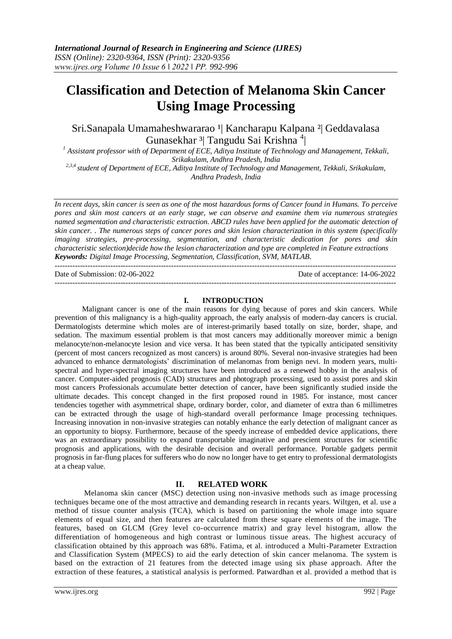# **Classification and Detection of Melanoma Skin Cancer Using Image Processing**

Sri.Sanapala Umamaheshwararao <sup>1</sup> Kancharapu Kalpana <sup>2</sup> Geddavalasa Gunasekhar <sup>3</sup>| Tangudu Sai Krishna <sup>4</sup>| |

*<sup>1</sup> Assistant professor with of Department of ECE, Aditya Institute of Technology and Management, Tekkali, Srikakulam, Andhra Pradesh, India*

*2,3,4 student of Department of ECE, Aditya Institute of Technology and Management, Tekkali, Srikakulam, Andhra Pradesh, India*

In recent days, skin cancer is seen as one of the most hazardous forms of Cancer found in Humans. To perceive pores and skin most cancers at an early stage, we can observe and examine them via numerous strategies *named segmentation and characteristic extraction. ABCD rules have been applied for the automatic detection of* skin cancer. The numerous steps of cancer pores and skin lesion characterization in this system (specifically *imaging strategies, pre-processing, segmentation, and characteristic dedication for pores and skin characteristic selection)decide how the lesion characterization and type are completed in Feature extractions Keywords: Digital Image Processing, Segmentation, Classification, SVM, MATLAB.*

--------------------------------------------------------------------------------------------------------------------------------------- Date of Submission: 02-06-2022 Date of acceptance: 14-06-2022 ---------------------------------------------------------------------------------------------------------------------------------------

#### **I. INTRODUCTION**

Malignant cancer is one of the main reasons for dying because of pores and skin cancers. While prevention of this malignancy is a high-quality approach, the early analysis of modern-day cancers is crucial. Dermatologists determine which moles are of interest-primarily based totally on size, border, shape, and sedation. The maximum essential problem is that most cancers may additionally moreover mimic a benign melanocyte/non-melanocyte lesion and vice versa. It has been stated that the typically anticipated sensitivity (percent of most cancers recognized as most cancers) is around 80%. Several non-invasive strategies had been advanced to enhance dermatologists' discrimination of melanomas from benign nevi. In modern years, multispectral and hyper-spectral imaging structures have been introduced as a renewed hobby in the analysis of cancer. Computer-aided prognosis (CAD) structures and photograph processing, used to assist pores and skin most cancers Professionals accumulate better detection of cancer, have been significantly studied inside the ultimate decades. This concept changed in the first proposed round in 1985. For instance, most cancer tendencies together with asymmetrical shape, ordinary border, color, and diameter of extra than 6 millimetres can be extracted through the usage of high-standard overall performance Image processing techniques. Increasing innovation in non-invasive strategies can notably enhance the early detection of malignant cancer as an opportunity to biopsy. Furthermore, because of the speedy increase of embedded device applications, there was an extraordinary possibility to expand transportable imaginative and prescient structures for scientific prognosis and applications, with the desirable decision and overall performance. Portable gadgets permit prognosis in far-flung places for sufferers who do now no longer have to get entry to professional dermatologists at a cheap value.

## **II. RELATED WORK**

Melanoma skin cancer (MSC) detection using non-invasive methods such as image processing techniques became one of the most attractive and demanding research in recants years. Wiltgen, et al. use a method of tissue counter analysis (TCA), which is based on partitioning the whole image into square elements of equal size, and then features are calculated from these square elements of the image. The features, based on GLCM (Grey level co-occurrence matrix) and gray level histogram, allow the differentiation of homogeneous and high contrast or luminous tissue areas. The highest accuracy of classification obtained by this approach was 68%. Fatima, et al. introduced a Multi-Parameter Extraction and Classification System (MPECS) to aid the early detection of skin cancer melanoma. The system is based on the extraction of 21 features from the detected image using six phase approach. After the extraction of these features, a statistical analysis is performed. Patwardhan et al. provided a method that is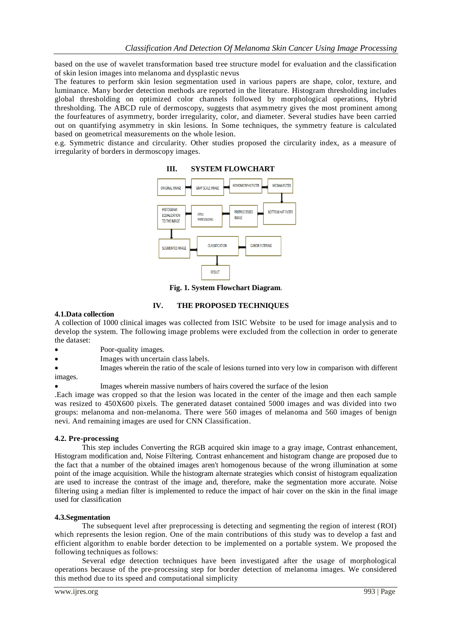based on the use of wavelet transformation based tree structure model for evaluation and the classification of skin lesion images into melanoma and dysplastic nevus

The features to perform skin lesion segmentation used in various papers are shape, color, texture, and luminance. Many border detection methods are reported in the literature. Histogram thresholding includes global thresholding on optimized color channels followed by morphological operations, Hybrid thresholding. The ABCD rule of dermoscopy, suggests that asymmetry gives the most prominent among the fourfeatures of asymmetry, border irregularity, color, and diameter. Several studies have been carried out on quantifying asymmetry in skin lesions. In Some techniques, the symmetry feature is calculated based on geometrical measurements on the whole lesion.

e.g. Symmetric distance and circularity. Other studies proposed the circularity index, as a measure of irregularity of borders in dermoscopy images.



**Fig. 1. System Flowchart Diagram**.

## **IV. THE PROPOSED TECHNIQUES**

#### **4.1.Data collection**

A collection of 1000 clinical images was collected from ISIC Website to be used for image analysis and to develop the system. The following image problems were excluded from the collection in order to generate the dataset:

- Poor-quality images.
- Images with uncertain class labels.
- Images wherein the ratio of the scale of lesions turned into very low in comparison with different images.
	- Images wherein massive numbers of hairs covered the surface of the lesion

.Each image was cropped so that the lesion was located in the center of the image and then each sample was resized to 450X600 pixels. The generated dataset contained 5000 images and was divided into two groups: melanoma and non-melanoma. There were 560 images of melanoma and 560 images of benign nevi. And remaining images are used for CNN Classification.

#### **4.2. Pre-processing**

This step includes Converting the RGB acquired skin image to a gray image, Contrast enhancement, Histogram modification and, Noise Filtering. Contrast enhancement and histogram change are proposed due to the fact that a number of the obtained images aren't homogenous because of the wrong illumination at some point of the image acquisition. While the histogram alternate strategies which consist of histogram equalization are used to increase the contrast of the image and, therefore, make the segmentation more accurate. Noise filtering using a median filter is implemented to reduce the impact of hair cover on the skin in the final image used for classification

#### **4.3.Segmentation**

The subsequent level after preprocessing is detecting and segmenting the region of interest (ROI) which represents the lesion region. One of the main contributions of this study was to develop a fast and efficient algorithm to enable border detection to be implemented on a portable system. We proposed the following techniques as follows:

Several edge detection techniques have been investigated after the usage of morphological operations because of the pre-processing step for border detection of melanoma images. We considered this method due to its speed and computational simplicity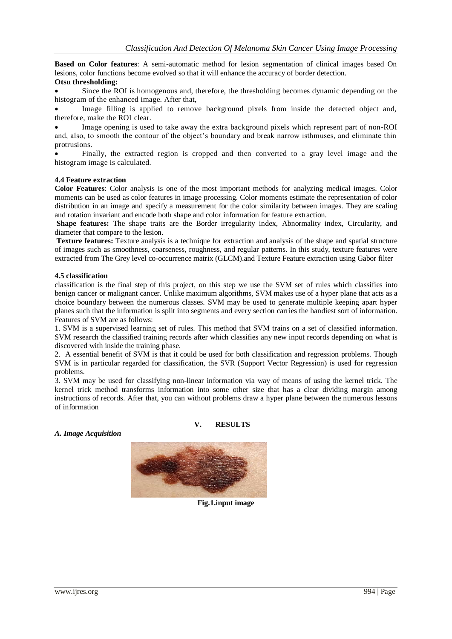**Based on Color features**: A semi-automatic method for lesion segmentation of clinical images based On lesions, color functions become evolved so that it will enhance the accuracy of border detection.

#### **Otsu thresholding:**

 Since the ROI is homogenous and, therefore, the thresholding becomes dynamic depending on the histogram of the enhanced image. After that,

 Image filling is applied to remove background pixels from inside the detected object and, therefore, make the ROI clear.

 Image opening is used to take away the extra background pixels which represent part of non-ROI and, also, to smooth the contour of the object's boundary and break narrow isthmuses, and eliminate thin protrusions.

 Finally, the extracted region is cropped and then converted to a gray level image and the histogram image is calculated.

#### **4.4 Feature extraction**

**Color Features**: Color analysis is one of the most important methods for analyzing medical images. Color moments can be used as color features in image processing. Color moments estimate the representation of color distribution in an image and specify a measurement for the color similarity between images. They are scaling and rotation invariant and encode both shape and color information for feature extraction.

**Shape features:** The shape traits are the Border irregularity index, Abnormality index, Circularity, and diameter that compare to the lesion.

**Texture features:** Texture analysis is a technique for extraction and analysis of the shape and spatial structure of images such as smoothness, coarseness, roughness, and regular patterns. In this study, texture features were extracted from The Grey level co-occurrence matrix (GLCM).and Texture Feature extraction using Gabor filter

#### **4.5 classification**

classification is the final step of this project, on this step we use the SVM set of rules which classifies into benign cancer or malignant cancer. Unlike maximum algorithms, SVM makes use of a hyper plane that acts as a choice boundary between the numerous classes. SVM may be used to generate multiple keeping apart hyper planes such that the information is split into segments and every section carries the handiest sort of information. Features of SVM are as follows:

1. SVM is a supervised learning set of rules. This method that SVM trains on a set of classified information. SVM research the classified training records after which classifies any new input records depending on what is discovered with inside the training phase.

2. A essential benefit of SVM is that it could be used for both classification and regression problems. Though SVM is in particular regarded for classification, the SVR (Support Vector Regression) is used for regression problems.

3. SVM may be used for classifying non-linear information via way of means of using the kernel trick. The kernel trick method transforms information into some other size that has a clear dividing margin among instructions of records. After that, you can without problems draw a hyper plane between the numerous lessons of information

## **V. RESULTS**

*A. Image Acquisition*



**Fig.1.input image**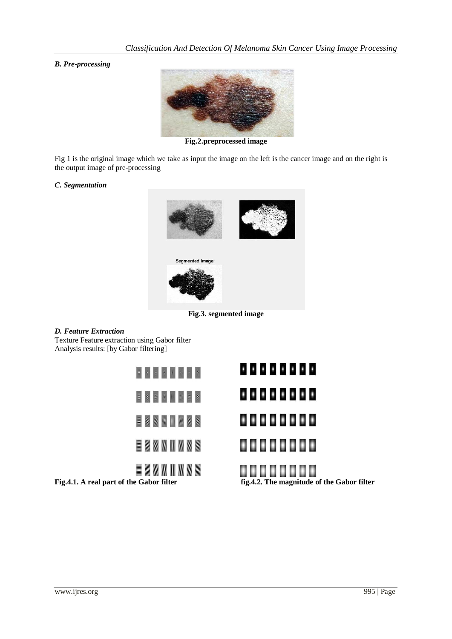*B. Pre-processing*



**Fig.2.preprocessed image**

Fig 1 is the original image which we take as input the image on the left is the cancer image and on the right is the output image of pre-processing

#### *C. Segmentation*



**Fig.3. segmented image**

### *D. Feature Extraction*

Texture Feature extraction using Gabor filter Analysis results: [by Gabor filtering]

|  |  |  |  |                            | .                                      |
|--|--|--|--|----------------------------|----------------------------------------|
|  |  |  |  |                            | ,,,,,,,,                               |
|  |  |  |  | <b>E S W W W W &amp; S</b> | .                                      |
|  |  |  |  | EZZWINSS                   |                                        |
|  |  |  |  | = 2 2 7 1 1 1 8 5          | .<br>$P = 100$ The second $100$ Pile C |

**Fig.4.1. A real part of the Gabor filter fig.4.2. The magnitude of the Gabor filter**